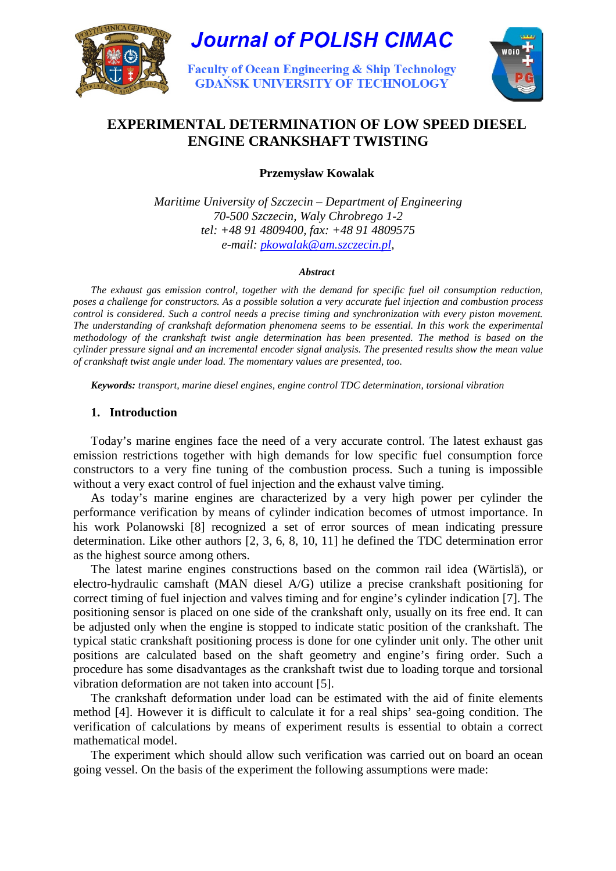

# **Journal of POLISH CIMAC**

**Faculty of Ocean Engineering & Ship Technology GDANSK UNIVERSITY OF TECHNOLOGY** 



# **EXPERIMENTAL DETERMINATION OF LOW SPEED DIESEL ENGINE CRANKSHAFT TWISTING**

**Przemysław Kowalak** 

*Maritime University of Szczecin – Department of Engineering 70-500 Szczecin, Waly Chrobrego 1-2 tel: +48 91 4809400, fax: +48 91 4809575 e-mail: pkowalak@am.szczecin.pl,* 

#### *Abstract*

*The exhaust gas emission control, together with the demand for specific fuel oil consumption reduction, poses a challenge for constructors. As a possible solution a very accurate fuel injection and combustion process control is considered. Such a control needs a precise timing and synchronization with every piston movement. The understanding of crankshaft deformation phenomena seems to be essential. In this work the experimental methodology of the crankshaft twist angle determination has been presented. The method is based on the cylinder pressure signal and an incremental encoder signal analysis. The presented results show the mean value of crankshaft twist angle under load. The momentary values are presented, too.* 

*Keywords: transport, marine diesel engines, engine control TDC determination, torsional vibration*

## **1. Introduction**

Today's marine engines face the need of a very accurate control. The latest exhaust gas emission restrictions together with high demands for low specific fuel consumption force constructors to a very fine tuning of the combustion process. Such a tuning is impossible without a very exact control of fuel injection and the exhaust valve timing.

As today's marine engines are characterized by a very high power per cylinder the performance verification by means of cylinder indication becomes of utmost importance. In his work Polanowski [8] recognized a set of error sources of mean indicating pressure determination. Like other authors [2, 3, 6, 8, 10, 11] he defined the TDC determination error as the highest source among others.

The latest marine engines constructions based on the common rail idea (Wärtislä), or electro-hydraulic camshaft (MAN diesel A/G) utilize a precise crankshaft positioning for correct timing of fuel injection and valves timing and for engine's cylinder indication [7]. The positioning sensor is placed on one side of the crankshaft only, usually on its free end. It can be adjusted only when the engine is stopped to indicate static position of the crankshaft. The typical static crankshaft positioning process is done for one cylinder unit only. The other unit positions are calculated based on the shaft geometry and engine's firing order. Such a procedure has some disadvantages as the crankshaft twist due to loading torque and torsional vibration deformation are not taken into account [5].

The crankshaft deformation under load can be estimated with the aid of finite elements method [4]. However it is difficult to calculate it for a real ships' sea-going condition. The verification of calculations by means of experiment results is essential to obtain a correct mathematical model.

The experiment which should allow such verification was carried out on board an ocean going vessel. On the basis of the experiment the following assumptions were made: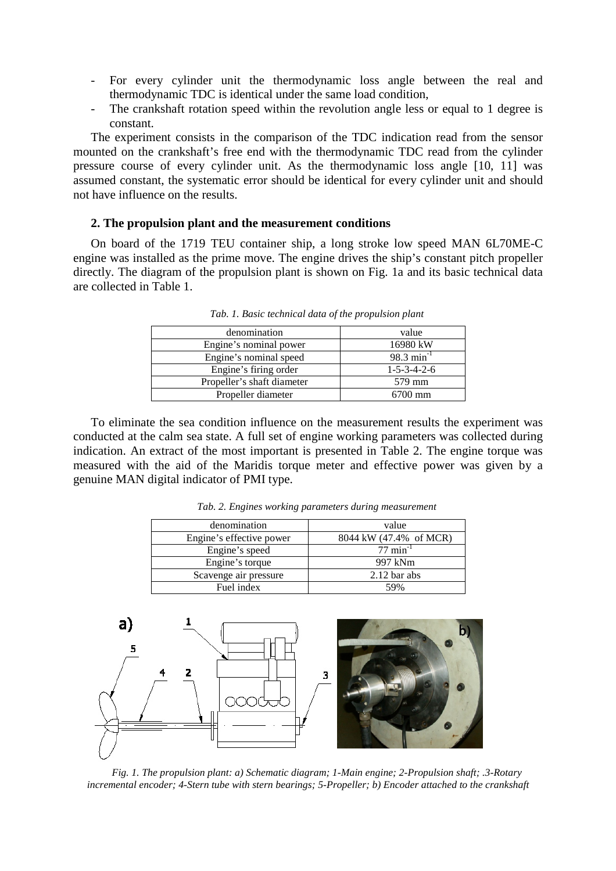- For every cylinder unit the thermodynamic loss angle between the real and thermodynamic TDC is identical under the same load condition,
- The crankshaft rotation speed within the revolution angle less or equal to 1 degree is constant.

The experiment consists in the comparison of the TDC indication read from the sensor mounted on the crankshaft's free end with the thermodynamic TDC read from the cylinder pressure course of every cylinder unit. As the thermodynamic loss angle [10, 11] was assumed constant, the systematic error should be identical for every cylinder unit and should not have influence on the results.

#### **2. The propulsion plant and the measurement conditions**

On board of the 1719 TEU container ship, a long stroke low speed MAN 6L70ME-C engine was installed as the prime move. The engine drives the ship's constant pitch propeller directly. The diagram of the propulsion plant is shown on Fig. 1a and its basic technical data are collected in Table 1.

| denomination               | value                   |
|----------------------------|-------------------------|
| Engine's nominal power     | 16980 kW                |
| Engine's nominal speed     | $98.3 \text{ min}^{-1}$ |
| Engine's firing order      | $1 - 5 - 3 - 4 - 2 - 6$ |
| Propeller's shaft diameter | 579 mm                  |
| Propeller diameter         | $6700$ mm               |

*Tab. 1. Basic technical data of the propulsion plant* 

To eliminate the sea condition influence on the measurement results the experiment was conducted at the calm sea state. A full set of engine working parameters was collected during indication. An extract of the most important is presented in Table 2. The engine torque was measured with the aid of the Maridis torque meter and effective power was given by a genuine MAN digital indicator of PMI type.

| denomination             | value                  |
|--------------------------|------------------------|
| Engine's effective power | 8044 kW (47.4% of MCR) |
| Engine's speed           | $77 \text{ min}^{-1}$  |
| Engine's torque          | 997 kNm                |
| Scavenge air pressure    | $2.12$ bar abs         |
| Fuel index               | 59%                    |

*Tab. 2. Engines working parameters during measurement* 



*Fig. 1. The propulsion plant: a) Schematic diagram; 1-Main engine; 2-Propulsion shaft; .3-Rotary incremental encoder; 4-Stern tube with stern bearings; 5-Propeller; b) Encoder attached to the crankshaft*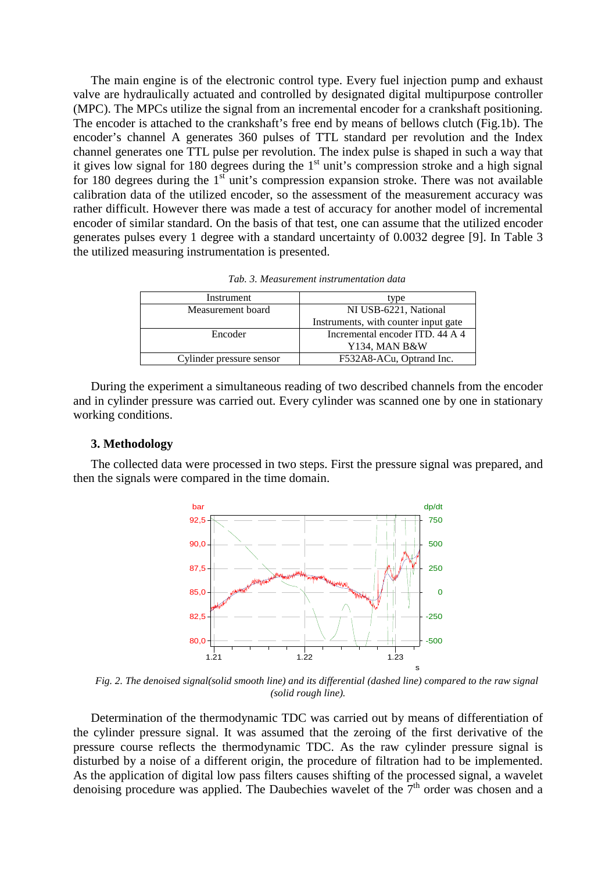The main engine is of the electronic control type. Every fuel injection pump and exhaust valve are hydraulically actuated and controlled by designated digital multipurpose controller (MPC). The MPCs utilize the signal from an incremental encoder for a crankshaft positioning. The encoder is attached to the crankshaft's free end by means of bellows clutch (Fig.1b). The encoder's channel A generates 360 pulses of TTL standard per revolution and the Index channel generates one TTL pulse per revolution. The index pulse is shaped in such a way that it gives low signal for 180 degrees during the  $1<sup>st</sup>$  unit's compression stroke and a high signal for 180 degrees during the  $1<sup>st</sup>$  unit's compression expansion stroke. There was not available calibration data of the utilized encoder, so the assessment of the measurement accuracy was rather difficult. However there was made a test of accuracy for another model of incremental encoder of similar standard. On the basis of that test, one can assume that the utilized encoder generates pulses every 1 degree with a standard uncertainty of 0.0032 degree [9]. In Table 3 the utilized measuring instrumentation is presented.

| Tab. 3. Measurement instrumentation data |  |
|------------------------------------------|--|
|------------------------------------------|--|

| Instrument               | type                                 |
|--------------------------|--------------------------------------|
| Measurement board        | NI USB-6221, National                |
|                          | Instruments, with counter input gate |
| Encoder                  | Incremental encoder ITD, 44 A 4      |
|                          | Y134, MAN B&W                        |
| Cylinder pressure sensor | F532A8-ACu, Optrand Inc.             |
|                          |                                      |

During the experiment a simultaneous reading of two described channels from the encoder and in cylinder pressure was carried out. Every cylinder was scanned one by one in stationary working conditions.

#### **3. Methodology**

The collected data were processed in two steps. First the pressure signal was prepared, and then the signals were compared in the time domain.



*Fig. 2. The denoised signal(solid smooth line) and its differential (dashed line) compared to the raw signal (solid rough line).* 

Determination of the thermodynamic TDC was carried out by means of differentiation of the cylinder pressure signal. It was assumed that the zeroing of the first derivative of the pressure course reflects the thermodynamic TDC. As the raw cylinder pressure signal is disturbed by a noise of a different origin, the procedure of filtration had to be implemented. As the application of digital low pass filters causes shifting of the processed signal, a wavelet denoising procedure was applied. The Daubechies wavelet of the  $7<sup>th</sup>$  order was chosen and a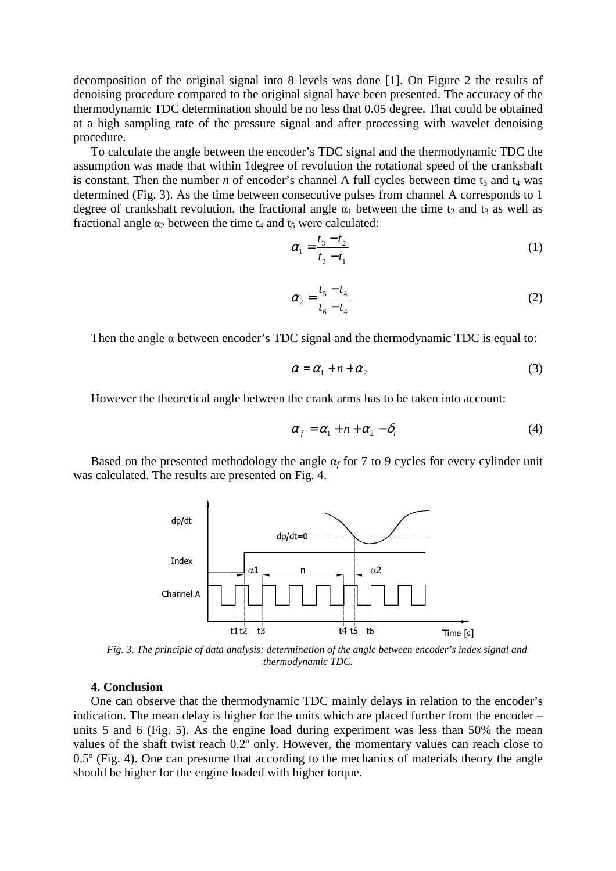decomposition of the original signal into 8 levels was done [1]. On Figure 2 the results of denoising procedure compared to the original signal have been presented. The accuracy of the thermodynamic TDC determination should be no less that 0.05 degree. That could be obtained at a high sampling rate of the pressure signal and after processing with wavelet denoising procedure.

To calculate the angle between the encoder's TDC signal and the thermodynamic TDC the assumption was made that within 1degree of revolution the rotational speed of the crankshaft is constant. Then the number *n* of encoder's channel A full cycles between time  $t_3$  and  $t_4$  was determined (Fig. 3). As the time between consecutive pulses from channel A corresponds to 1 degree of crankshaft revolution, the fractional angle  $\alpha_1$  between the time t<sub>2</sub> and t<sub>3</sub> as well as fractional angle  $\alpha_2$  between the time  $t_4$  and  $t_5$  were calculated:

$$
\alpha_1 = \frac{t_3 - t_2}{t_3 - t_1} \tag{1}
$$

$$
\alpha_2 = \frac{t_5 - t_4}{t_6 - t_4} \tag{2}
$$

Then the angle  $\alpha$  between encoder's TDC signal and the thermodynamic TDC is equal to:

$$
\alpha = \alpha_1 + n + \alpha_2 \tag{3}
$$

However the theoretical angle between the crank arms has to be taken into account:

$$
\alpha_{f} = \alpha_{1} + n + \alpha_{2} - \delta_{i} \tag{4}
$$

Based on the presented methodology the angle  $\alpha_f$  for 7 to 9 cycles for every cylinder unit was calculated. The results are presented on Fig. 4.



*Fig. 3. The principle of data analysis; determination of the angle between encoder's index signal and thermodynamic TDC.* 

#### **4. Conclusion**

One can observe that the thermodynamic TDC mainly delays in relation to the encoder's indication. The mean delay is higher for the units which are placed further from the encoder – units 5 and 6 (Fig. 5). As the engine load during experiment was less than 50% the mean values of the shaft twist reach 0.2º only. However, the momentary values can reach close to 0.5º (Fig. 4). One can presume that according to the mechanics of materials theory the angle should be higher for the engine loaded with higher torque.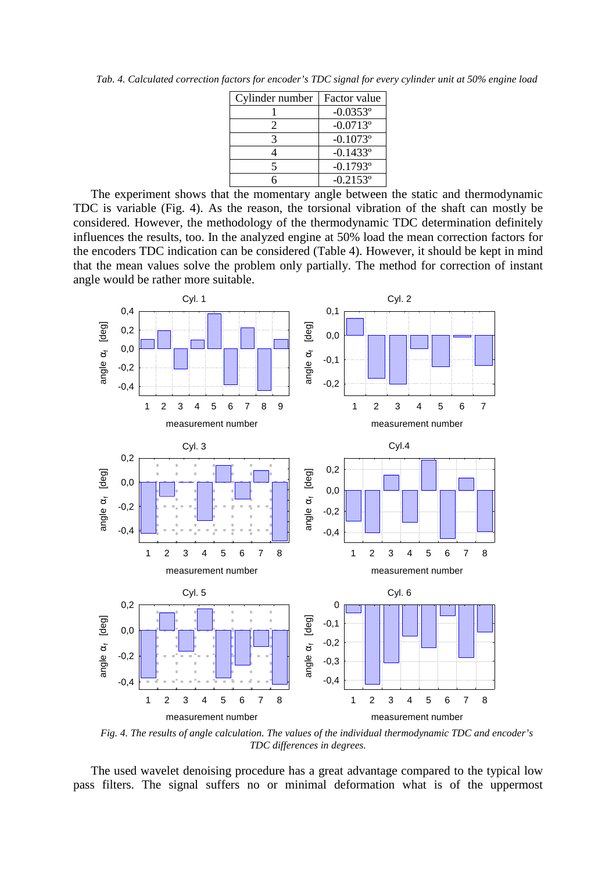*Tab. 4. Calculated correction factors for encoder's TDC signal for every cylinder unit at 50% engine load* 

| Cylinder number | Factor value |
|-----------------|--------------|
|                 | $-0.0353$ °  |
| 2               | $-0.0713$ °  |
|                 | $-0.1073$ °  |
|                 | $-0.1433$ °  |
|                 | $-0.1793$ °  |
|                 | $-0.2153$ °  |

The experiment shows that the momentary angle between the static and thermodynamic TDC is variable (Fig. 4). As the reason, the torsional vibration of the shaft can mostly be considered. However, the methodology of the thermodynamic TDC determination definitely influences the results, too. In the analyzed engine at 50% load the mean correction factors for the encoders TDC indication can be considered (Table 4). However, it should be kept in mind that the mean values solve the problem only partially. The method for correction of instant angle would be rather more suitable.



*Fig. 4. The results of angle calculation. The values of the individual thermodynamic TDC and encoder's TDC differences in degrees.* 

The used wavelet denoising procedure has a great advantage compared to the typical low pass filters. The signal suffers no or minimal deformation what is of the uppermost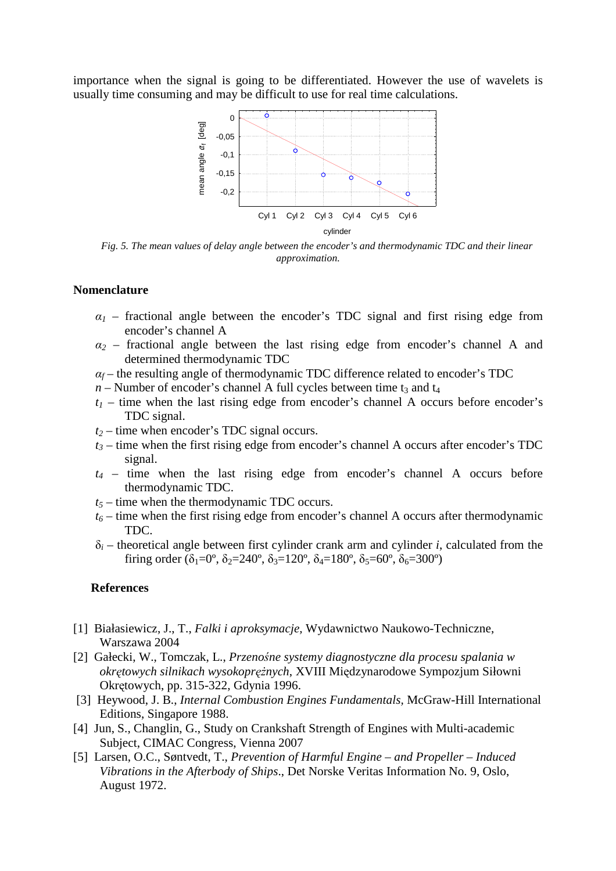importance when the signal is going to be differentiated. However the use of wavelets is usually time consuming and may be difficult to use for real time calculations.



*Fig. 5. The mean values of delay angle between the encoder's and thermodynamic TDC and their linear approximation.* 

#### **Nomenclature**

- $a_1$  fractional angle between the encoder's TDC signal and first rising edge from encoder's channel A
- $a_2$  fractional angle between the last rising edge from encoder's channel A and determined thermodynamic TDC
- $\alpha_f$  the resulting angle of thermodynamic TDC difference related to encoder's TDC
- $n -$ Number of encoder's channel A full cycles between time  $t_3$  and  $t_4$
- $t_1$  time when the last rising edge from encoder's channel A occurs before encoder's TDC signal.
- *t2* time when encoder's TDC signal occurs.
- $t_3$  time when the first rising edge from encoder's channel A occurs after encoder's TDC signal.
- *t4* time when the last rising edge from encoder's channel A occurs before thermodynamic TDC.
- $t_5$  time when the thermodynamic TDC occurs.
- $t_6$  time when the first rising edge from encoder's channel A occurs after thermodynamic TDC.
- δ*i* – theoretical angle between first cylinder crank arm and cylinder *i*, calculated from the firing order ( $\delta_1 = 0^\circ$ ,  $\delta_2 = 240^\circ$ ,  $\delta_3 = 120^\circ$ ,  $\delta_4 = 180^\circ$ ,  $\delta_5 = 60^\circ$ ,  $\delta_6 = 300^\circ$ )

## **References**

- [1] Białasiewicz, J., T., *Falki i aproksymacje,* Wydawnictwo Naukowo-Techniczne, Warszawa 2004
- [2] Gałecki, W., Tomczak, L., *Przeno*ś*ne systemy diagnostyczne dla procesu spalania w okrętowych silnikach wysokoprężnych*, XVIII Międzynarodowe Sympozjum Siłowni Okrętowych, pp. 315-322, Gdynia 1996.
- [3] Heywood, J. B., *Internal Combustion Engines Fundamentals,* McGraw-Hill International Editions, Singapore 1988.
- [4] Jun, S., Changlin, G., Study on Crankshaft Strength of Engines with Multi-academic Subject, CIMAC Congress, Vienna 2007
- [5] Larsen, O.C., Søntvedt, T., *Prevention of Harmful Engine and Propeller Induced Vibrations in the Afterbody of Ships*., Det Norske Veritas Information No. 9, Oslo, August 1972.